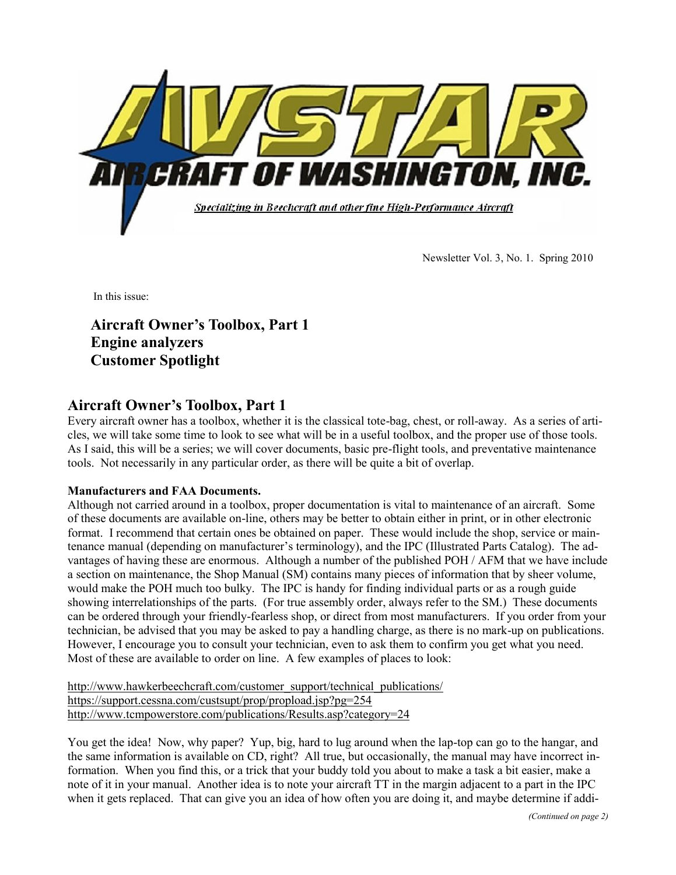

Newsletter Vol. 3, No. 1. Spring 2010

In this issue:

**Aircraft Owner's Toolbox, Part 1 Engine analyzers Customer Spotlight**

### **Aircraft Owner's Toolbox, Part 1**

Every aircraft owner has a toolbox, whether it is the classical tote-bag, chest, or roll-away. As a series of articles, we will take some time to look to see what will be in a useful toolbox, and the proper use of those tools. As I said, this will be a series; we will cover documents, basic pre-flight tools, and preventative maintenance tools. Not necessarily in any particular order, as there will be quite a bit of overlap.

### **Manufacturers and FAA Documents.**

Although not carried around in a toolbox, proper documentation is vital to maintenance of an aircraft. Some of these documents are available on-line, others may be better to obtain either in print, or in other electronic format. I recommend that certain ones be obtained on paper. These would include the shop, service or maintenance manual (depending on manufacturer's terminology), and the IPC (Illustrated Parts Catalog). The advantages of having these are enormous. Although a number of the published POH / AFM that we have include a section on maintenance, the Shop Manual (SM) contains many pieces of information that by sheer volume, would make the POH much too bulky. The IPC is handy for finding individual parts or as a rough guide showing interrelationships of the parts. (For true assembly order, always refer to the SM.) These documents can be ordered through your friendly-fearless shop, or direct from most manufacturers. If you order from your technician, be advised that you may be asked to pay a handling charge, as there is no mark-up on publications. However, I encourage you to consult your technician, even to ask them to confirm you get what you need. Most of these are available to order on line. A few examples of places to look:

http://www.hawkerbeechcraft.com/customer\_support/technical\_publications/ https://support.cessna.com/custsupt/prop/propload.jsp?pg=254 http://www.tcmpowerstore.com/publications/Results.asp?category=24

You get the idea! Now, why paper? Yup, big, hard to lug around when the lap-top can go to the hangar, and the same information is available on CD, right? All true, but occasionally, the manual may have incorrect information. When you find this, or a trick that your buddy told you about to make a task a bit easier, make a note of it in your manual. Another idea is to note your aircraft TT in the margin adjacent to a part in the IPC when it gets replaced. That can give you an idea of how often you are doing it, and maybe determine if addi-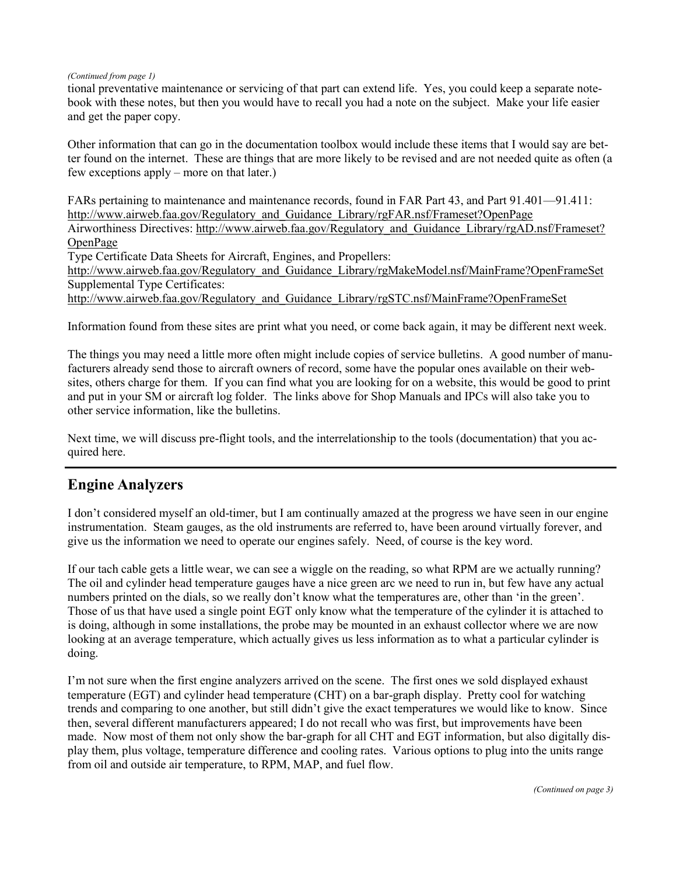#### *(Continued from page 1)*

tional preventative maintenance or servicing of that part can extend life. Yes, you could keep a separate notebook with these notes, but then you would have to recall you had a note on the subject. Make your life easier and get the paper copy.

Other information that can go in the documentation toolbox would include these items that I would say are better found on the internet. These are things that are more likely to be revised and are not needed quite as often (a few exceptions apply – more on that later.)

FARs pertaining to maintenance and maintenance records, found in FAR Part 43, and Part 91.401—91.411: http://www.airweb.faa.gov/Regulatory\_and\_Guidance\_Library/rgFAR.nsf/Frameset?OpenPage Airworthiness Directives: http://www.airweb.faa.gov/Regulatory\_and\_Guidance\_Library/rgAD.nsf/Frameset? OpenPage Type Certificate Data Sheets for Aircraft, Engines, and Propellers:

http://www.airweb.faa.gov/Regulatory\_and\_Guidance\_Library/rgMakeModel.nsf/MainFrame?OpenFrameSet Supplemental Type Certificates:

http://www.airweb.faa.gov/Regulatory\_and\_Guidance\_Library/rgSTC.nsf/MainFrame?OpenFrameSet

Information found from these sites are print what you need, or come back again, it may be different next week.

The things you may need a little more often might include copies of service bulletins. A good number of manufacturers already send those to aircraft owners of record, some have the popular ones available on their websites, others charge for them. If you can find what you are looking for on a website, this would be good to print and put in your SM or aircraft log folder. The links above for Shop Manuals and IPCs will also take you to other service information, like the bulletins.

Next time, we will discuss pre-flight tools, and the interrelationship to the tools (documentation) that you acquired here.

## **Engine Analyzers**

I don't considered myself an old-timer, but I am continually amazed at the progress we have seen in our engine instrumentation. Steam gauges, as the old instruments are referred to, have been around virtually forever, and give us the information we need to operate our engines safely. Need, of course is the key word.

If our tach cable gets a little wear, we can see a wiggle on the reading, so what RPM are we actually running? The oil and cylinder head temperature gauges have a nice green arc we need to run in, but few have any actual numbers printed on the dials, so we really don't know what the temperatures are, other than 'in the green'. Those of us that have used a single point EGT only know what the temperature of the cylinder it is attached to is doing, although in some installations, the probe may be mounted in an exhaust collector where we are now looking at an average temperature, which actually gives us less information as to what a particular cylinder is doing.

I'm not sure when the first engine analyzers arrived on the scene. The first ones we sold displayed exhaust temperature (EGT) and cylinder head temperature (CHT) on a bar-graph display. Pretty cool for watching trends and comparing to one another, but still didn't give the exact temperatures we would like to know. Since then, several different manufacturers appeared; I do not recall who was first, but improvements have been made. Now most of them not only show the bar-graph for all CHT and EGT information, but also digitally display them, plus voltage, temperature difference and cooling rates. Various options to plug into the units range from oil and outside air temperature, to RPM, MAP, and fuel flow.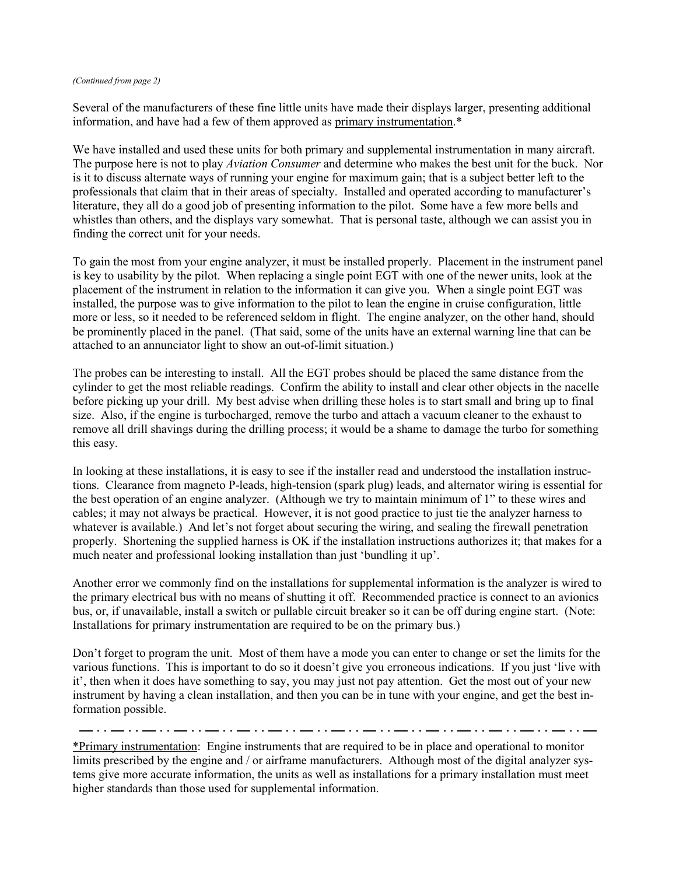#### *(Continued from page 2)*

Several of the manufacturers of these fine little units have made their displays larger, presenting additional information, and have had a few of them approved as primary instrumentation.\*

We have installed and used these units for both primary and supplemental instrumentation in many aircraft. The purpose here is not to play *Aviation Consumer* and determine who makes the best unit for the buck. Nor is it to discuss alternate ways of running your engine for maximum gain; that is a subject better left to the professionals that claim that in their areas of specialty. Installed and operated according to manufacturer's literature, they all do a good job of presenting information to the pilot. Some have a few more bells and whistles than others, and the displays vary somewhat. That is personal taste, although we can assist you in finding the correct unit for your needs.

To gain the most from your engine analyzer, it must be installed properly. Placement in the instrument panel is key to usability by the pilot. When replacing a single point EGT with one of the newer units, look at the placement of the instrument in relation to the information it can give you. When a single point EGT was installed, the purpose was to give information to the pilot to lean the engine in cruise configuration, little more or less, so it needed to be referenced seldom in flight. The engine analyzer, on the other hand, should be prominently placed in the panel. (That said, some of the units have an external warning line that can be attached to an annunciator light to show an out-of-limit situation.)

The probes can be interesting to install. All the EGT probes should be placed the same distance from the cylinder to get the most reliable readings. Confirm the ability to install and clear other objects in the nacelle before picking up your drill. My best advise when drilling these holes is to start small and bring up to final size. Also, if the engine is turbocharged, remove the turbo and attach a vacuum cleaner to the exhaust to remove all drill shavings during the drilling process; it would be a shame to damage the turbo for something this easy.

In looking at these installations, it is easy to see if the installer read and understood the installation instructions. Clearance from magneto P-leads, high-tension (spark plug) leads, and alternator wiring is essential for the best operation of an engine analyzer. (Although we try to maintain minimum of 1" to these wires and cables; it may not always be practical. However, it is not good practice to just tie the analyzer harness to whatever is available.) And let's not forget about securing the wiring, and sealing the firewall penetration properly. Shortening the supplied harness is OK if the installation instructions authorizes it; that makes for a much neater and professional looking installation than just 'bundling it up'.

Another error we commonly find on the installations for supplemental information is the analyzer is wired to the primary electrical bus with no means of shutting it off. Recommended practice is connect to an avionics bus, or, if unavailable, install a switch or pullable circuit breaker so it can be off during engine start. (Note: Installations for primary instrumentation are required to be on the primary bus.)

Don't forget to program the unit. Most of them have a mode you can enter to change or set the limits for the various functions. This is important to do so it doesn't give you erroneous indications. If you just 'live with it', then when it does have something to say, you may just not pay attention. Get the most out of your new instrument by having a clean installation, and then you can be in tune with your engine, and get the best information possible.

\*Primary instrumentation: Engine instruments that are required to be in place and operational to monitor limits prescribed by the engine and / or airframe manufacturers. Although most of the digital analyzer systems give more accurate information, the units as well as installations for a primary installation must meet higher standards than those used for supplemental information.